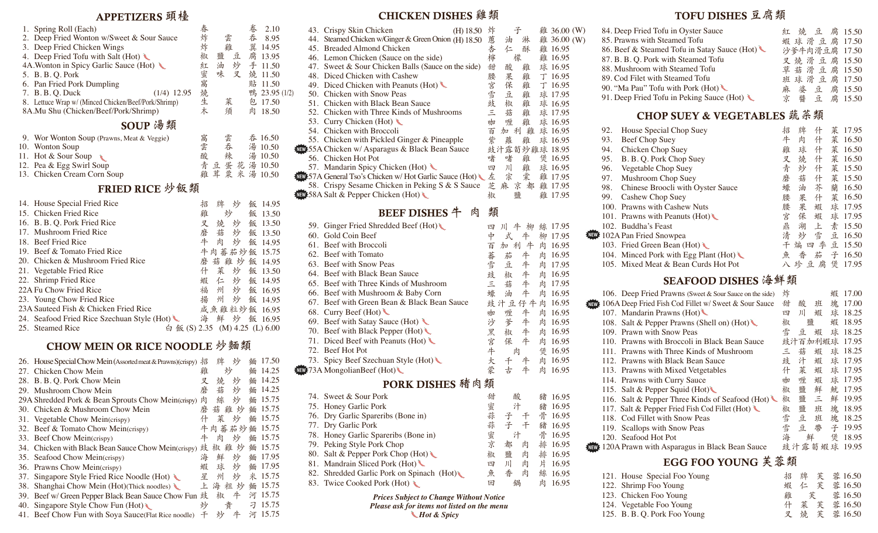## APPETIZERS **頭檯**

| 1. Spring Roll (Each)                                | 春  |        | 卷<br>2.10     |  |  |  |  |  |
|------------------------------------------------------|----|--------|---------------|--|--|--|--|--|
| 2. Deep Fried Wonton w/Sweet & Sour Sauce            | 炸  | 雲      | 呑 8.95        |  |  |  |  |  |
| 3. Deep Fried Chicken Wings                          | 炸  | 雞      | 翼 14.95       |  |  |  |  |  |
| 4. Deep Fried Tofu with Salt (Hot) $\bigcup$         | 椒  | 豆<br>鹽 | 腐 13.95       |  |  |  |  |  |
| 4A. Wonton in Spicy Garlic Sauce (Hot)               | 紅  | 炒<br>油 | 手 11.50       |  |  |  |  |  |
| 5. B. B. Q. Pork                                     | 蜜窩 | 呋<br>叉 | 燒 11.50       |  |  |  |  |  |
| 6. Pan Fried Pork Dumpling                           |    |        | 貼 11.50       |  |  |  |  |  |
| 7. B. B. O. Duck<br>$(1/4)$ 12.95                    | 燒  |        | 鴨 23.95 (1/2) |  |  |  |  |  |
| 8. Lettuce Wrap w/ (Minced Chicken/Beef/Pork/Shrimp) | 生  | 菜      | 包 17.50       |  |  |  |  |  |
| 8A.Mu Shu (Chicken/Beef/Pork/Shrimp)                 | 木  | 須      | 肉 18.50       |  |  |  |  |  |
| SOUP 湯類                                              |    |        |               |  |  |  |  |  |
| 9. Wor Wonton Soup (Prawns, Meat & Veggie)           | 窩  | 雲      | 呑 16.50       |  |  |  |  |  |
| 10. Wonton Soup                                      | 雲  | 吞      | 湯 10.50       |  |  |  |  |  |

| 10. Wonton Soup             | 雲 | 呑 |  | 湯 10.50         |
|-----------------------------|---|---|--|-----------------|
| 11. Hot $&$ Sour Soup       | 酸 | 辣 |  | 湯 10.50         |
| 12. Pea & Egg Swirl Soup    |   |   |  | 青豆蛋花湯10.50      |
| 13. Chicken Cream Corn Soup |   |   |  | 雞 茸 粟 米 湯 10.50 |

## FRIED RICE **炒飯類**

| 14. House Special Fried Rice                       | 招 | 牌 | 炒   | 飯 14.95       |
|----------------------------------------------------|---|---|-----|---------------|
| 15. Chicken Fried Rice                             | 雞 |   | 炒   | 飯 13.50       |
| 16. B. B. Q. Pork Fried Rice                       | 叉 | 燒 | 炒   | 飯 13.50       |
| 17. Mushroom Fried Rice                            | 磨 | 菇 | 炒   | 飯 13.50       |
| 18. Beef Fried Rice                                | 牛 | 肉 | 炒   | 飯 14.95       |
| 19. Beef & Tomato Fried Rice                       |   |   |     | 牛肉蕃茄炒飯 15.75  |
| 20. Chicken & Mushroom Fried Rice                  | 麼 |   |     | 菇 雞 炒 飯 14.95 |
| 21. Vegetable Fried Rice                           | 什 | 菜 | 炒   | 飯 13.50       |
| 22. Shrimp Fried Rice                              | 蝦 |   | 仁炒  | 飯 14.95       |
| 22A Fu Chow Fried Rice                             | 福 |   | 州 炒 | 飯 16.95       |
| 23. Young Chow Fried Rice                          | 揚 | 州 | 炒。  | 飯 14.95       |
| 23A Sauteed Fish & Chicken Fried Rice              |   |   |     | 咸魚雞粒炒飯 16.95  |
| 24. Seafood Fried Rice Szechuan Style (Hot)        | 海 |   | 鮮 炒 | 飯 16.95       |
| 白 飯 (S) 2.35 (M) 4.25 (L) 6.00<br>25. Steamed Rice |   |   |     |               |

## CHOW MEIN OR RICE NOODLE **炒麵類**

|     | 26. House Special Chow Mein (Assorted meat & Prawns) (crispy) | 招 | 牌      | 炒 | 緬 | 17.50 |
|-----|---------------------------------------------------------------|---|--------|---|---|-------|
| 27. | Chicken Chow Mein                                             | 雞 | 炒      |   | 緬 | 14.25 |
|     | 28. B. B. Q. Pork Chow Mein                                   | 叉 | 燒      | 炒 | 緬 | 14.25 |
| 29. | Mushroom Chow Mein                                            | 磨 | 菇      | 炒 | 緬 | 14.25 |
|     | 29A Shredded Pork & Bean Sprouts Chow Mein(crispy)            | 肉 | 絲      | 炒 | 緬 | 15.75 |
|     | 30. Chicken & Mushroom Chow Mein                              | 磨 | 菇 雞    | 炒 | 緬 | 15.75 |
|     | 31. Vegetable Chow Mein(crispy)                               | 什 | 葇      | 炒 | 緬 | 15.75 |
|     | 32. Beef & Tomato Chow Mein(crispy)                           |   | 肉蕃茄炒   |   | 緬 | 15.75 |
|     | 33. Beef Chow Mein(crispy)                                    |   | 肉      | 炒 | 緬 | 15.75 |
|     | 34. Chicken with Black Bean Sauce Chow Mein(crispy)           | 豉 | 雞<br>椒 | 炒 | 緬 | 15.75 |
|     | 35. Seafood Chow Mein(crispy)                                 | 海 | 鮮      | 炒 | 緬 | 17.95 |
|     | 36. Prawns Chow Mein(crispy)                                  | 蝦 | 球      | 炒 | 緬 | 17.95 |
|     | 37. Singapore Style Fried Rice Noodle (Hot)                   | 星 | 州      | 炒 | 米 | 15.75 |
| 38. | Shanghai Chow Mein (Hot) (Thick noodles)                      | 上 | 海<br>粗 | 炒 | 緬 | 15.75 |
|     | 39. Beef w/ Green Pepper Black Bean Sauce Chow Fun 豉          |   | 椒      | 牛 | 河 | 15.75 |
|     | 40. Singapore Style Chow Fun (Hot)                            | 炒 | 貴      |   | 刁 | 15.75 |
|     | 41. Beef Chow Fun with Soya Sauce (Flat Rice noodle)          | 干 | 炒      | 牛 | 河 | 15.75 |

## CHICKEN DISHES **雞類**

|  | 43. Crispy Skin Chicken                                        | (H) 18.50 | 炸 |               |   |   | 雞 36.00 (W) |  |
|--|----------------------------------------------------------------|-----------|---|---------------|---|---|-------------|--|
|  | 44. Steamed Chicken w/Ginger & Green Onion (H) 18.50           |           | 蔥 | 油             | 淋 |   | 雞 36.00 (W) |  |
|  | 45. Breaded Almond Chicken                                     |           | 杏 | 仁             | 酥 |   | 雞 16.95     |  |
|  | 46. Lemon Chicken (Sauce on the side)                          |           | 檸 | 樣             |   |   | 雞 16.95     |  |
|  | 47. Sweet & Sour Chicken Balls (Sauce on the side)             |           | 甜 | 酸             | 雞 |   | 球 16.95     |  |
|  | 48. Diced Chicken with Cashew                                  |           | 腰 | 果             | 雞 |   | 丁 16.95     |  |
|  | 49. Diced Chicken with Peanuts (Hot) $\bigcup$                 |           | 宮 | 保             | 雞 |   | 丁 16.95     |  |
|  | 50. Chicken with Snow Peas                                     |           | 雪 | 豆             | 雞 |   | 球 17.95     |  |
|  | 51. Chicken with Black Bean Sauce                              |           | 豉 | 椒             | 雞 |   | 球 16.95     |  |
|  | 52. Chicken with Three Kinds of Mushrooms                      |           | 三 | 菇             | 雞 |   | 球 17.95     |  |
|  | 53. Curry Chicken (Hot)                                        |           | 咖 | 喱             | 雞 |   | 球 16.95     |  |
|  | 54. Chicken with Broccoli                                      |           | 百 | 利<br>加        | 雞 |   | 球 16.95     |  |
|  | 55. Chicken with Pickled Ginger & Pineapple                    |           | 祡 | 蘿             | 雞 |   | 球 16.95     |  |
|  | <b>NEW</b> 55A Chicken w/ Asparagus & Black Bean Sauce         |           |   | 豉汁露筍炒雞球 18.95 |   |   |             |  |
|  | 56. Chicken Hot Pot                                            |           | 啫 | 啫             | 雞 |   | 煲 16.95     |  |
|  | 57. Mandarin Spicy Chicken (Hot)                               |           | 四 | Л             | 雞 |   | 球 16.95     |  |
|  | <b>NEW 57A General Tso's Chicken w/ Hot Garlic Sauce (Hot)</b> |           | 左 | 宗             | 棠 |   | 雞 17.95     |  |
|  | 58. Crispy Sesame Chicken in Peking S & S Sauce                |           | 芝 | 麻<br>京        | 都 |   | 雞 17.95     |  |
|  | <b>WEV</b> 58A Salt & Pepper Chicken (Hot)                     |           | 椒 | 鹽             |   | 雞 | 17.95       |  |

## BEEF DISHES **牛 肉 類**

| 59. Ginger Fried Shredded Beef (Hot)        | 四  | 牛<br>ЛГ | 柳 | 絲 | 17.95 |
|---------------------------------------------|----|---------|---|---|-------|
| 60. Gold Coin Beef                          | 中  | 式       | 牛 | 柳 | 17.95 |
| 61. Beef with Broccoli                      | 百  | 利<br>加  | 牛 | 肉 | 16.95 |
| 62. Beef with Tomato                        | 蕃  | 茄       | 牛 | 肉 | 16.95 |
| 63. Beef with Snow Peas                     | 雪  | 豆       | 牛 | 肉 | 17.95 |
| 64. Beef with Black Bean Sauce              | 豉  | 椒       | 牛 | 肉 | 16.95 |
| 65. Beef with Three Kinds of Mushroom       | 三  | 菇       | 牛 | 肉 | 17.95 |
| 66. Beef with Mushroom & Baby Corn          | 蠔  | 油       | 牛 | 肉 | 16.95 |
| 67. Beef with Green Bean & Black Bean Sauce |    | 豉汁豆仔牛   |   | 肉 | 16.95 |
| 68. Curry Beef (Hot)                        | 咖  | 喱       | 牛 | 肉 | 16.95 |
| 69. Beef with Satay Sauce (Hot) $\bigcup$   | 沙  | 爹       | 牛 | 肉 | 16.95 |
| 70. Beef with Black Pepper (Hot) $\bigcup$  | 黑  | 椒       | 牛 | 肉 | 16.95 |
| 71. Diced Beef with Peanuts (Hot)           | 宮  | 保       | 牛 | 肉 | 16.95 |
| 72. Beef Hot Pot                            | 牛  | 肉       |   | 煲 | 16.95 |
| 73. Spicy Beef Szechuan Style (Hot)         | 大  | 千       | 牛 | 肉 | 16.95 |
| 73A Mongolian Beef (Hot) $\bigcup$          | 蒙  | 古       | 牛 | 肉 | 16.95 |
| PORK DISHES 豬肉類                             |    |         |   |   |       |
| 74. Sweet & Sour Pork                       | 甜  | 酸       |   | 豬 | 16.95 |
| 75. Honey Garlic Pork                       | 蜜  | 汁       |   | 豬 | 16.95 |
| 76. Dry Garlic Spareribs (Bone in)          | 蒜  | 子       | 干 | 骨 | 16.95 |
| 77. Dry Garlic Pork                         | 蒜  | 子       | 干 | 豬 | 16.95 |
| 78. Honey Garlic Spareribs (Bone in)        | 蜜京 | 汁       |   | 骨 | 16.95 |
| 79. Peking Style Pork Chop                  |    | 都       | 肉 | 排 | 16.95 |
| 80. Salt & Pepper Pork Chop (Hot)           | 椒  | 鹽       | 肉 | 排 | 16.95 |
| 81. Mandrain Sliced Pork (Hot)              | 四  | 川       | 肉 | 片 | 16.95 |
| 82. Shredded Garlic Pork on Spinach (Hot)   | 魚  | 香       | 肉 | 絲 | 16.95 |
| 83. Twice Cooked Pork (Hot)                 | 回  | 鍋       |   | 肉 | 16.95 |
|                                             |    |         |   |   |       |

*Prices Subject to Change Without Notice Please ask for items not listed on the menu Hot & Spicy*

## TOFU DISHES **豆腐類**

| 84. Deep Fried Tofu in Oyster Sauce          | 红 燒 豆 腐 15.50 |
|----------------------------------------------|---------------|
| 85. Prawns with Steamed Tofu                 | 蝦球滑豆腐 17.50   |
| 86. Beef & Steamed Tofu in Satay Sauce (Hot) | 沙爹牛肉滑豆腐 17.50 |
| 87. B. B. Q. Pork with Steamed Tofu          | 又燒滑豆腐 15.50   |
| 88. Mushroom with Steamed Tofu               | 草菇滑豆腐 15.50   |
| 89. Cod Filet with Steamed Tofu              | 班球滑豆腐 17.50   |
| 90. "Ma Pau" Tofu with Pork (Hot)            | 麻婆豆腐15.50     |
| 91. Deep Fried Tofu in Peking Sauce (Hot)    | 京 醬 豆 腐 15.50 |
|                                              |               |

## CHOP SUEY & VEGETABLES **蔬菜類**

| 92. | House Special Chop Suey               | 招 | 牌   | 什 | 葇 | 17.95          |
|-----|---------------------------------------|---|-----|---|---|----------------|
| 93. | Beef Chop Suey                        | 牛 | 肉   | 什 | 莱 | 16.50          |
| 94. | Chicken Chop Suey                     | 雞 | 球   | 什 | 菜 | 16.50          |
| 95. | B. B. Q. Pork Chop Suey               | 叉 | 燒   | 什 | 菜 | 16.50          |
| 96. | Vegetable Chop Suey                   | 青 | 炒   | 什 |   | <b>菜 15.50</b> |
| 97. | Mushroom Chop Suey                    | 磨 | 菇   | 什 |   | 菜 15.50        |
| 98. | Chinese Broocli with Oyster Sauce     | 蠔 | 油   | 芥 | 蘭 | 16.50          |
| 99. | Cashew Chop Suey                      | 腰 | 果   | 什 |   | <b>菜 16.50</b> |
|     | 100. Prawns with Cashew Nuts          | 腰 | 果   | 蝦 |   | 球 17.95        |
|     | 101. Prawns with Peanuts (Hot)        | 宮 | 保   | 蝦 |   | 球 17.95        |
|     | 102. Buddha's Feast                   | 鼎 | 湖   | 上 |   | 素 15.50        |
|     | <b>WEW:</b> 102A Pan Fried Snowpea    | 清 | 炒   | 雪 |   | 豆 16.50        |
|     | 103. Fried Green Bean (Hot)           |   | 煸 四 |   |   | 季豆 15.50       |
|     | 104. Minced Pork with Egg Plant (Hot) | 魚 | 香   | 茄 | 子 | 16.50          |
|     | 105. Mixed Meat & Bean Curds Hot Pot  |   | 珍豆  | 腐 | 煲 | 17.95          |
|     |                                       |   |     |   |   |                |

## SEAFOOD DISHES **海鮮類**

|       | 106. Deep Fried Prawns (Sweet & Sour Sauce on the side)   | 炸              |   |         | 蝦  | 17.00 |
|-------|-----------------------------------------------------------|----------------|---|---------|----|-------|
| NEW 3 | 106A Deep Fried Fish Cod Fillet w/ Sweet & Sour Sauce     | 甜              | 酸 | 班       | 塊  | 17.00 |
|       | 107. Mandarin Prawns (Hot)                                | 四              | Л | 蝦       | 球  | 18.25 |
|       | 108. Salt & Pepper Prawns (Shell on) (Hot)                | 椒              | 鹽 |         | 蝦  | 18.95 |
|       | 109. Prawn with Snow Peas                                 | 雪              | 豆 | 蝦       | 球  | 18.25 |
|       | 110. Prawns with Broccoli in Black Bean Sauce             |                |   | 豉汁百加利蝦球 |    | 17.95 |
|       | 111. Prawns with Three Kinds of Mushroom                  | 三              | 菇 | 蝦       | 球  | 18.25 |
|       | 112. Prawns with Black Bean Sauce                         | 豉              | 汁 | 蝦       | 球  | 17.95 |
|       | 113. Prawns with Mixed Vetgetables                        | 什              | 菜 | 蝦       | 球  | 17.95 |
|       | 114. Prawns with Curry Sauce                              | 咖              | 喱 | 蝦       | 球  | 17.95 |
|       | 115. Salt & Pepper Squid (Hot)                            | 椒              | 鹽 | 鮮       | 魷. | 17.95 |
|       | 116. Salt & Pepper Three Kinds of Seafood (Hot)           | 椒              | 鹽 | 三       | 鮮  | 19.95 |
|       | 117. Salt & Pepper Fried Fish Cod Fillet (Hot)            | 椒              | 鹽 | 班       | 塊  | 18.95 |
|       | 118. Cod Fillet with Snow Peas                            | 雪              | 豆 | 班       | 塊  | 18.25 |
|       | 119. Scallops with Snow Peas                              | 雪              | 豆 | 帶       | 子  | 19.95 |
|       | 120. Seafood Hot Pot                                      | 海              | 鮮 |         | 儤  | 18.95 |
|       | <b>NEW:</b> 120A Prawn with Asparagus in Black Bean Sauce |                |   | 豉汁露筍蝦球  |    | 19.95 |
|       | ÷<br>ECAEBAVATBIA                                         | <b>美</b><br>老石 |   |         |    |       |

### EGG FOO YOUNG **芙蓉類**

| 121. House Special Foo Young<br>122. Shrimp Foo Young<br>123. Chicken Foo Young<br>124. Vegetable Foo Young<br>125. B. B. O. Pork Foo Young | 雞 | 招 牌 芙 蓉 16.50<br>蝦 仁 芙 蓉 16.50<br>什 菜 芙 蓉 16.50<br>叉 燒 芙 蓉 16.50 |
|---------------------------------------------------------------------------------------------------------------------------------------------|---|------------------------------------------------------------------|